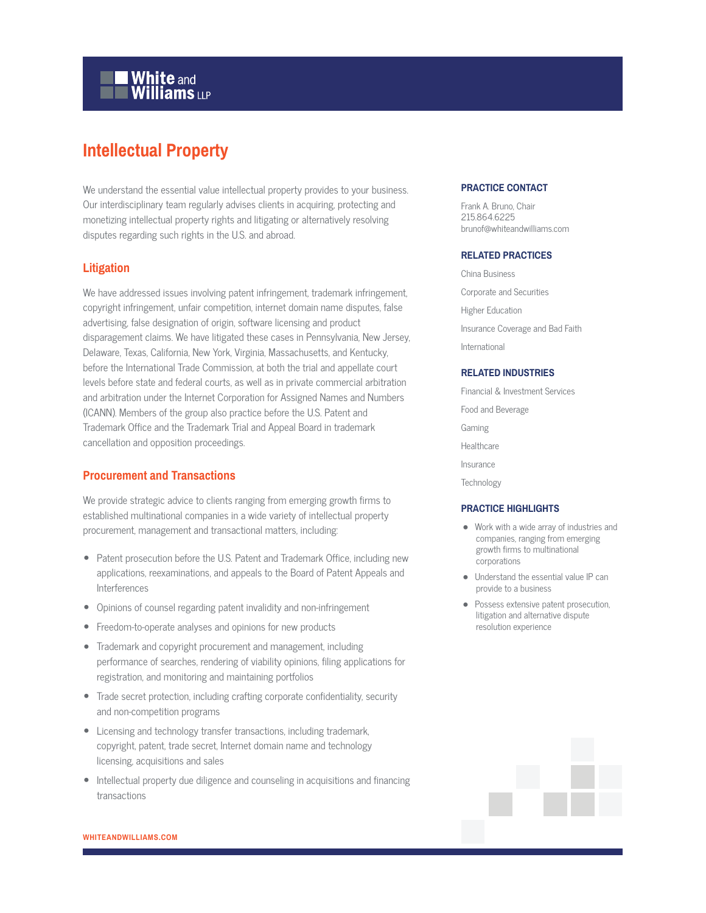

# **Intellectual Property**

We understand the essential value intellectual property provides to your business. Our interdisciplinary team regularly advises clients in acquiring, protecting and monetizing intellectual property rights and litigating or alternatively resolving disputes regarding such rights in the U.S. and abroad.

## **Litigation**

We have addressed issues involving patent infringement, trademark infringement, copyright infringement, unfair competition, internet domain name disputes, false advertising, false designation of origin, software licensing and product disparagement claims. We have litigated these cases in Pennsylvania, New Jersey, Delaware, Texas, California, New York, Virginia, Massachusetts, and Kentucky, before the International Trade Commission, at both the trial and appellate court levels before state and federal courts, as well as in private commercial arbitration and arbitration under the Internet Corporation for Assigned Names and Numbers (ICANN). Members of the group also practice before the U.S. Patent and Trademark Office and the Trademark Trial and Appeal Board in trademark cancellation and opposition proceedings.

# **Procurement and Transactions**

We provide strategic advice to clients ranging from emerging growth firms to established multinational companies in a wide variety of intellectual property procurement, management and transactional matters, including:

- Patent prosecution before the U.S. Patent and Trademark Office, including new applications, reexaminations, and appeals to the Board of Patent Appeals and Interferences
- Opinions of counsel regarding patent invalidity and non-infringement
- Freedom-to-operate analyses and opinions for new products
- Trademark and copyright procurement and management, including performance of searches, rendering of viability opinions, filing applications for registration, and monitoring and maintaining portfolios
- Trade secret protection, including crafting corporate confidentiality, security and non-competition programs
- Licensing and technology transfer transactions, including trademark, copyright, patent, trade secret, Internet domain name and technology licensing, acquisitions and sales
- Intellectual property due diligence and counseling in acquisitions and financing transactions

## **PRACTICE CONTACT**

Frank A. Bruno, Chair 215.864.6225 brunof@whiteandwilliams.com

#### **RELATED PRACTICES**

China Business Corporate and Securities Higher Education Insurance Coverage and Bad Faith International

#### **RELATED INDUSTRIES**

Financial & Investment Services Food and Beverage Gaming **Healthcare** Insurance **Technology** 

## **PRACTICE HIGHLIGHTS**

- Work with a wide array of industries and companies, ranging from emerging growth firms to multinational corporations
- Understand the essential value IP can provide to a business
- Possess extensive patent prosecution, litigation and alternative dispute resolution experience

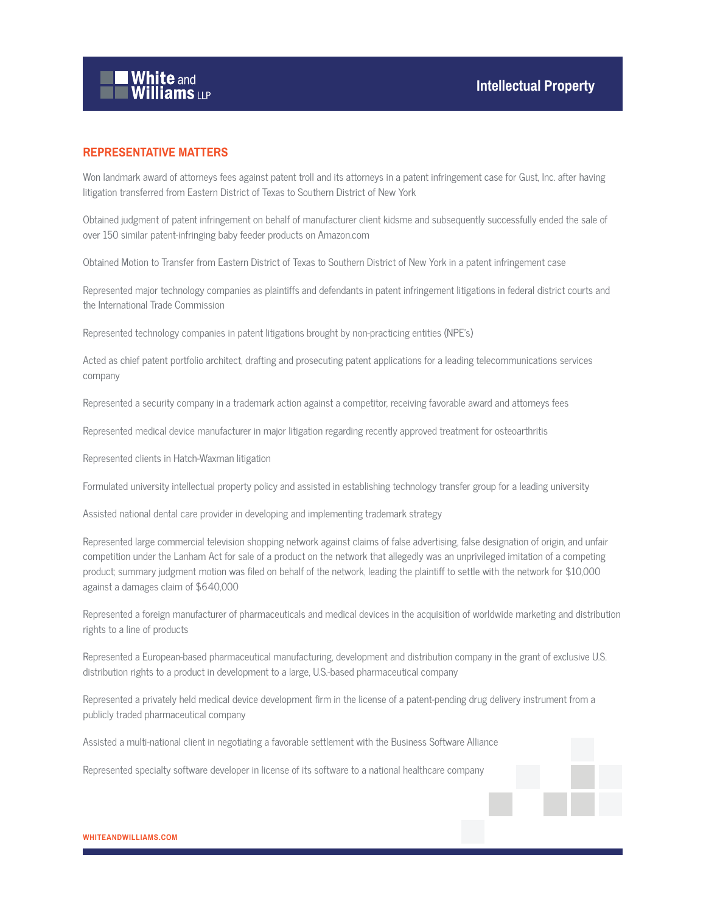

# **REPRESENTATIVE MATTERS**

Won landmark award of attorneys fees against patent troll and its attorneys in a patent infringement case for Gust, Inc. after having litigation transferred from Eastern District of Texas to Southern District of New York

Obtained judgment of patent infringement on behalf of manufacturer client kidsme and subsequently successfully ended the sale of over 150 similar patent-infringing baby feeder products on Amazon.com

Obtained Motion to Transfer from Eastern District of Texas to Southern District of New York in a patent infringement case

Represented major technology companies as plaintiffs and defendants in patent infringement litigations in federal district courts and the International Trade Commission

Represented technology companies in patent litigations brought by non-practicing entities (NPE's)

Acted as chief patent portfolio architect, drafting and prosecuting patent applications for a leading telecommunications services company

Represented a security company in a trademark action against a competitor, receiving favorable award and attorneys fees

Represented medical device manufacturer in major litigation regarding recently approved treatment for osteoarthritis

Represented clients in Hatch-Waxman litigation

Formulated university intellectual property policy and assisted in establishing technology transfer group for a leading university

Assisted national dental care provider in developing and implementing trademark strategy

Represented large commercial television shopping network against claims of false advertising, false designation of origin, and unfair competition under the Lanham Act for sale of a product on the network that allegedly was an unprivileged imitation of a competing product; summary judgment motion was filed on behalf of the network, leading the plaintiff to settle with the network for \$10,000 against a damages claim of \$640,000

Represented a foreign manufacturer of pharmaceuticals and medical devices in the acquisition of worldwide marketing and distribution rights to a line of products

Represented a European-based pharmaceutical manufacturing, development and distribution company in the grant of exclusive U.S. distribution rights to a product in development to a large, U.S.-based pharmaceutical company

Represented a privately held medical device development firm in the license of a patent-pending drug delivery instrument from a publicly traded pharmaceutical company

Assisted a multi-national client in negotiating a favorable settlement with the Business Software Alliance

Represented specialty software developer in license of its software to a national healthcare company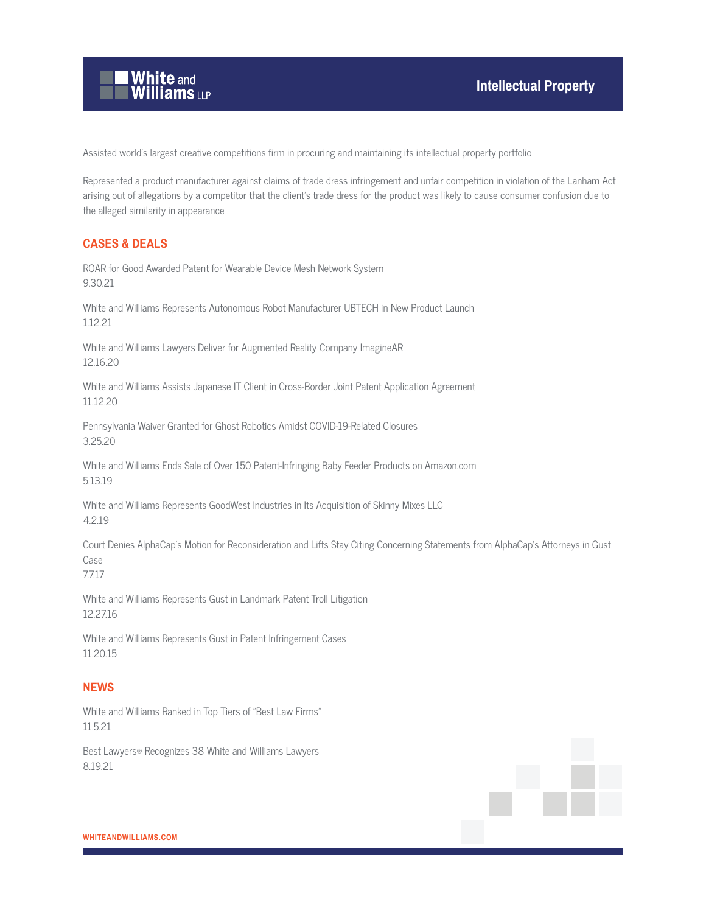

Assisted world's largest creative competitions firm in procuring and maintaining its intellectual property portfolio

Represented a product manufacturer against claims of trade dress infringement and unfair competition in violation of the Lanham Act arising out of allegations by a competitor that the client's trade dress for the product was likely to cause consumer confusion due to the alleged similarity in appearance

# **CASES & DEALS**

ROAR for Good Awarded Patent for Wearable Device Mesh Network System 9.30.21

White and Williams Represents Autonomous Robot Manufacturer UBTECH in New Product Launch 1.12.21

White and Williams Lawyers Deliver for Augmented Reality Company ImagineAR 12.16.20

White and Williams Assists Japanese IT Client in Cross-Border Joint Patent Application Agreement 11.12.20

Pennsylvania Waiver Granted for Ghost Robotics Amidst COVID-19-Related Closures 3.25.20

White and Williams Ends Sale of Over 150 Patent-Infringing Baby Feeder Products on Amazon.com 5.13.19

White and Williams Represents GoodWest Industries in Its Acquisition of Skinny Mixes LLC 4.2.19

Court Denies AlphaCap's Motion for Reconsideration and Lifts Stay Citing Concerning Statements from AlphaCap's Attorneys in Gust Case

7.7.17

White and Williams Represents Gust in Landmark Patent Troll Litigation 12.27.16

White and Williams Represents Gust in Patent Infringement Cases 11.20.15

# **NEWS**

White and Williams Ranked in Top Tiers of "Best Law Firms" 11.5.21

Best Lawyers® Recognizes 38 White and Williams Lawyers 8.19.21

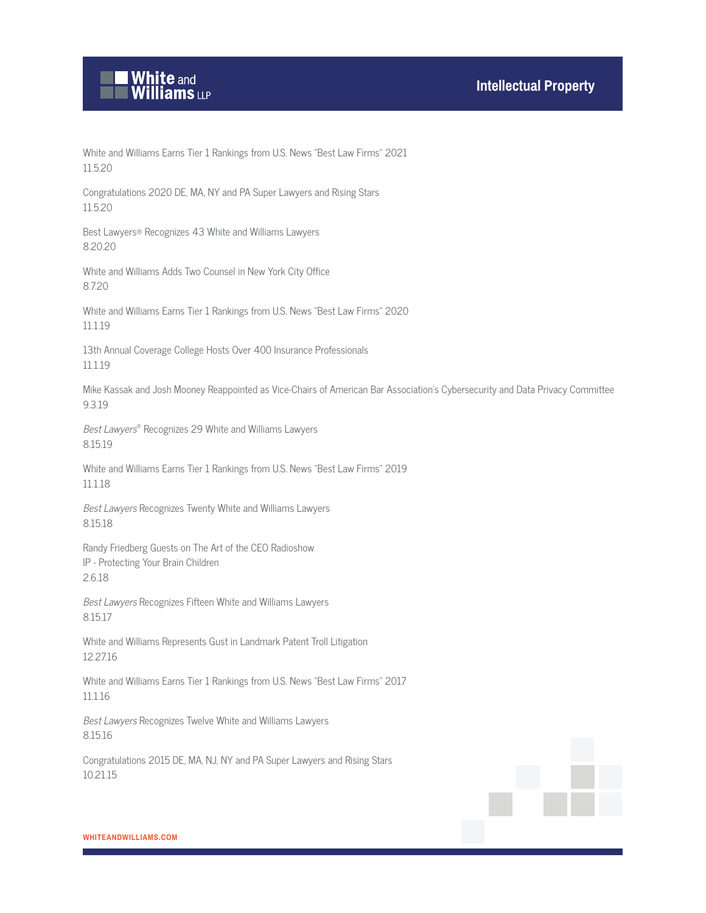

White and Williams Earns Tier 1 Rankings from U.S. News "Best Law Firms" 2021 11.5.20

Congratulations 2020 DE, MA, NY and PA Super Lawyers and Rising Stars 11.5.20

Best Lawyers® Recognizes 43 White and Williams Lawyers 8.20.20

White and Williams Adds Two Counsel in New York City Office 8.7.20

White and Williams Earns Tier 1 Rankings from U.S. News "Best Law Firms" 2020 11.1.19

13th Annual Coverage College Hosts Over 400 Insurance Professionals 11.1.19

Mike Kassak and Josh Mooney Reappointed as Vice-Chairs of American Bar Association's Cybersecurity and Data Privacy Committee 9.3.19

Best Lawyers® Recognizes 29 White and Williams Lawyers 8.15.19

White and Williams Earns Tier 1 Rankings from U.S. News "Best Law Firms" 2019 11.1.18

Best Lawyers Recognizes Twenty White and Williams Lawyers 8.15.18

Randy Friedberg Guests on The Art of the CEO Radioshow IP - Protecting Your Brain Children 2.6.18

Best Lawyers Recognizes Fifteen White and Williams Lawyers 8.15.17

White and Williams Represents Gust in Landmark Patent Troll Litigation 12.27.16

White and Williams Earns Tier 1 Rankings from U.S. News "Best Law Firms" 2017 11.1.16

Best Lawyers Recognizes Twelve White and Williams Lawyers 8.15.16

Congratulations 2015 DE, MA, NJ, NY and PA Super Lawyers and Rising Stars 10.21.15

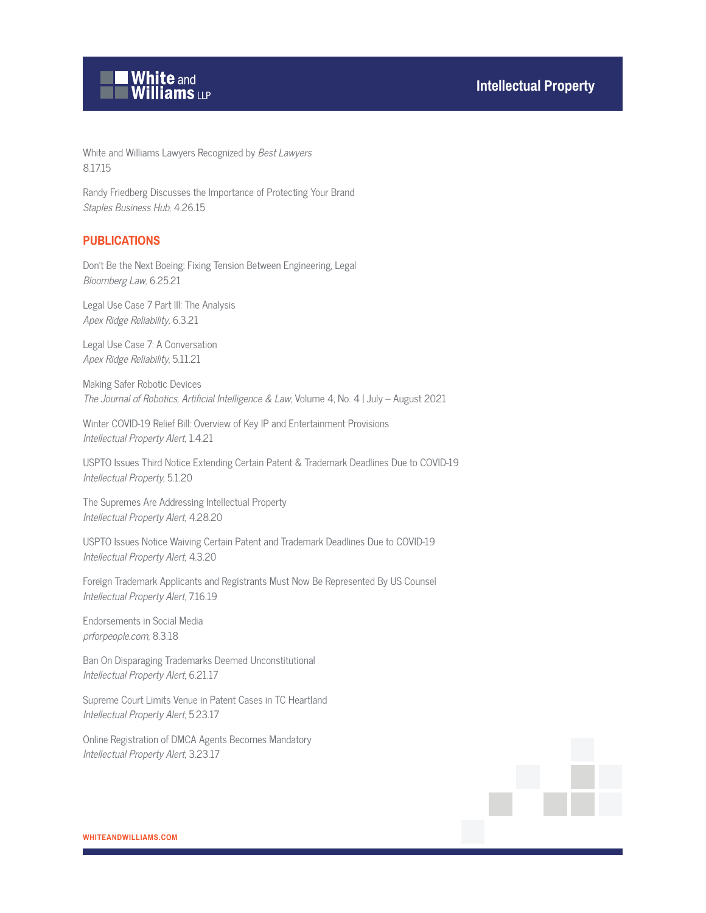

White and Williams Lawyers Recognized by Best Lawyers 8.17.15

Randy Friedberg Discusses the Importance of Protecting Your Brand Staples Business Hub, 4.26.15

## **PUBLICATIONS**

Don't Be the Next Boeing: Fixing Tension Between Engineering, Legal Bloomberg Law, 6.25.21

Legal Use Case 7 Part III: The Analysis Apex Ridge Reliability, 6.3.21

Legal Use Case 7: A Conversation Apex Ridge Reliability, 5.11.21

Making Safer Robotic Devices The Journal of Robotics, Artificial Intelligence & Law, Volume 4, No. 4 | July – August 2021

Winter COVID-19 Relief Bill: Overview of Key IP and Entertainment Provisions Intellectual Property Alert, 1.4.21

USPTO Issues Third Notice Extending Certain Patent & Trademark Deadlines Due to COVID-19 Intellectual Property, 5.1.20

The Supremes Are Addressing Intellectual Property Intellectual Property Alert, 4.28.20

USPTO Issues Notice Waiving Certain Patent and Trademark Deadlines Due to COVID-19 Intellectual Property Alert, 4.3.20

Foreign Trademark Applicants and Registrants Must Now Be Represented By US Counsel Intellectual Property Alert, 7.16.19

Endorsements in Social Media prforpeople.com, 8.3.18

Ban On Disparaging Trademarks Deemed Unconstitutional Intellectual Property Alert, 6.21.17

Supreme Court Limits Venue in Patent Cases in TC Heartland Intellectual Property Alert, 5.23.17

Online Registration of DMCA Agents Becomes Mandatory Intellectual Property Alert, 3.23.17

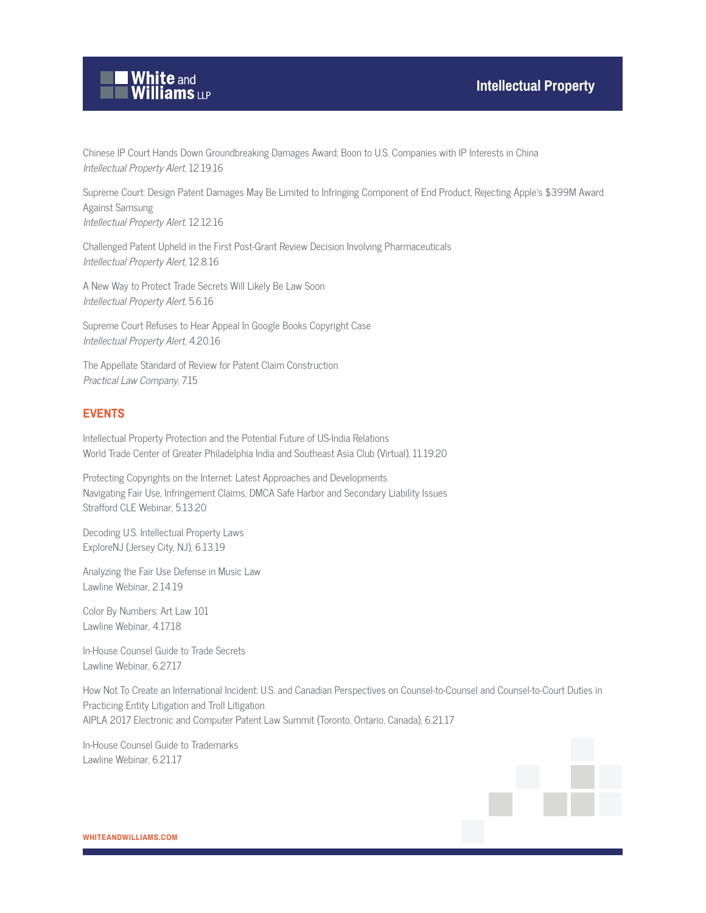

Chinese IP Court Hands Down Groundbreaking Damages Award; Boon to U.S. Companies with IP Interests in China Intellectual Property Alert, 12.19.16

Supreme Court: Design Patent Damages May Be Limited to Infringing Component of End Product, Rejecting Apple's \$399M Award Against Samsung Intellectual Property Alert, 12.12.16

Challenged Patent Upheld in the First Post-Grant Review Decision Involving Pharmaceuticals Intellectual Property Alert, 12.8.16

A New Way to Protect Trade Secrets Will Likely Be Law Soon Intellectual Property Alert, 5.6.16

Supreme Court Refuses to Hear Appeal In Google Books Copyright Case Intellectual Property Alert, 4.20.16

The Appellate Standard of Review for Patent Claim Construction Practical Law Company, 7.15

## **EVENTS**

Intellectual Property Protection and the Potential Future of US-India Relations World Trade Center of Greater Philadelphia India and Southeast Asia Club (Virtual), 11.19.20

Protecting Copyrights on the Internet: Latest Approaches and Developments Navigating Fair Use, Infringement Claims, DMCA Safe Harbor and Secondary Liability Issues Strafford CLE Webinar, 5.13.20

Decoding U.S. Intellectual Property Laws ExploreNJ (Jersey City, NJ), 6.13.19

Analyzing the Fair Use Defense in Music Law Lawline Webinar, 2.14.19

Color By Numbers: Art Law 101 Lawline Webinar, 4.17.18

In-House Counsel Guide to Trade Secrets Lawline Webinar, 6.27.17

How Not To Create an International Incident: U.S. and Canadian Perspectives on Counsel-to-Counsel and Counsel-to-Court Duties in Practicing Entity Litigation and Troll Litigation AIPLA 2017 Electronic and Computer Patent Law Summit (Toronto, Ontario, Canada), 6.21.17

In-House Counsel Guide to Trademarks Lawline Webinar, 6.21.17